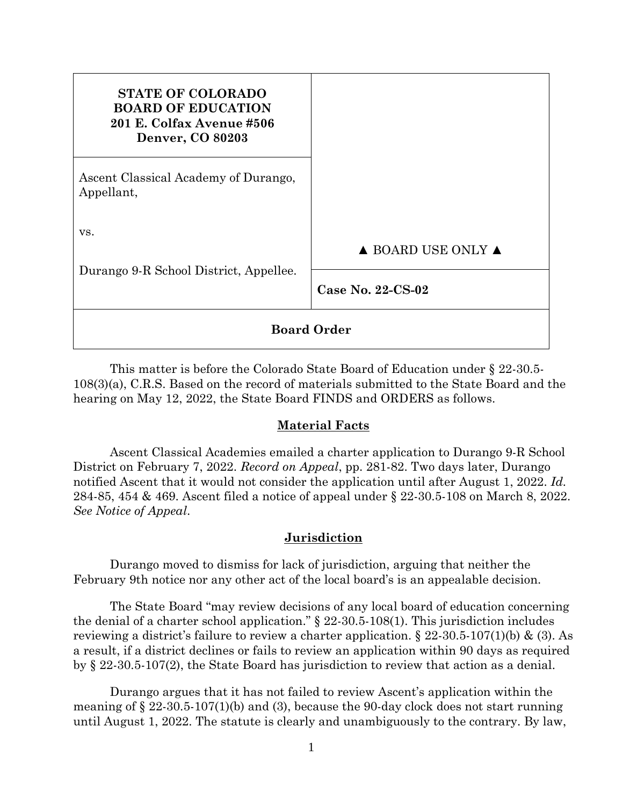| <b>STATE OF COLORADO</b><br><b>BOARD OF EDUCATION</b><br>201 E. Colfax Avenue #506<br><b>Denver, CO 80203</b> |                                        |
|---------------------------------------------------------------------------------------------------------------|----------------------------------------|
| Ascent Classical Academy of Durango,<br>Appellant,                                                            |                                        |
| VS.<br>Durango 9-R School District, Appellee.                                                                 | $\triangle$ BOARD USE ONLY $\triangle$ |
|                                                                                                               | Case No. $22$ -CS-02                   |
| <b>Board Order</b>                                                                                            |                                        |

This matter is before the Colorado State Board of Education under § 22-30.5- 108(3)(a), C.R.S. Based on the record of materials submitted to the State Board and the hearing on May 12, 2022, the State Board FINDS and ORDERS as follows.

## **Material Facts**

Ascent Classical Academies emailed a charter application to Durango 9-R School District on February 7, 2022. *Record on Appeal*, pp. 281-82. Two days later, Durango notified Ascent that it would not consider the application until after August 1, 2022. *Id.* 284-85, 454 & 469. Ascent filed a notice of appeal under § 22-30.5-108 on March 8, 2022. *See Notice of Appeal*.

## **Jurisdiction**

Durango moved to dismiss for lack of jurisdiction, arguing that neither the February 9th notice nor any other act of the local board's is an appealable decision.

The State Board "may review decisions of any local board of education concerning the denial of a charter school application." § 22-30.5-108(1). This jurisdiction includes reviewing a district's failure to review a charter application.  $\S 22-30.5-107(1)(b) \& (3)$ . As a result, if a district declines or fails to review an application within 90 days as required by § 22-30.5-107(2), the State Board has jurisdiction to review that action as a denial.

Durango argues that it has not failed to review Ascent's application within the meaning of  $\S 22-30.5-107(1)(b)$  and (3), because the 90-day clock does not start running until August 1, 2022. The statute is clearly and unambiguously to the contrary. By law,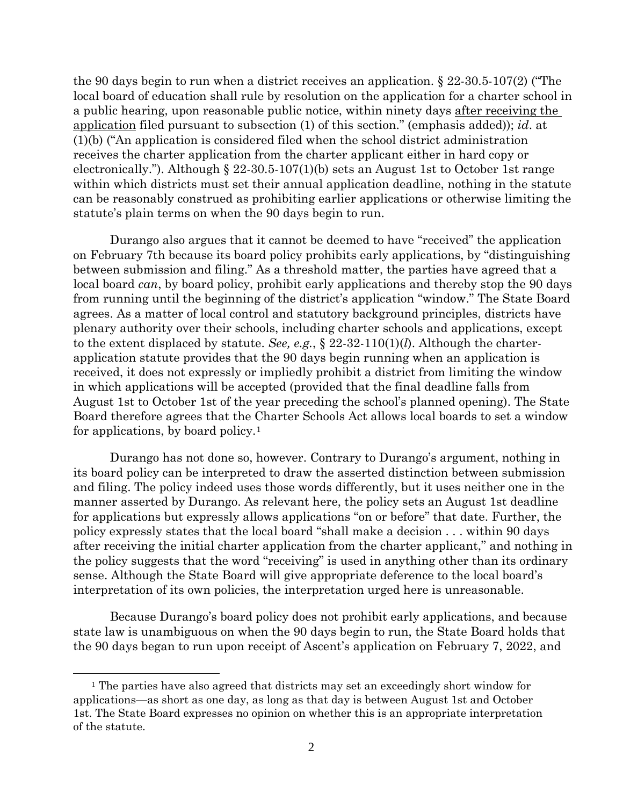the 90 days begin to run when a district receives an application. § 22-30.5-107(2) ("The local board of education shall rule by resolution on the application for a charter school in a public hearing, upon reasonable public notice, within ninety days after receiving the application filed pursuant to subsection (1) of this section." (emphasis added)); *id*. at (1)(b) ("An application is considered filed when the school district administration receives the charter application from the charter applicant either in hard copy or electronically."). Although  $\S 22-30.5-107(1)(b)$  sets an August 1st to October 1st range within which districts must set their annual application deadline, nothing in the statute can be reasonably construed as prohibiting earlier applications or otherwise limiting the statute's plain terms on when the 90 days begin to run.

Durango also argues that it cannot be deemed to have "received" the application on February 7th because its board policy prohibits early applications, by "distinguishing between submission and filing." As a threshold matter, the parties have agreed that a local board *can*, by board policy, prohibit early applications and thereby stop the 90 days from running until the beginning of the district's application "window." The State Board agrees. As a matter of local control and statutory background principles, districts have plenary authority over their schools, including charter schools and applications, except to the extent displaced by statute. *See, e.g.*, § 22-32-110(1)(*l*). Although the charterapplication statute provides that the 90 days begin running when an application is received, it does not expressly or impliedly prohibit a district from limiting the window in which applications will be accepted (provided that the final deadline falls from August 1st to October 1st of the year preceding the school's planned opening). The State Board therefore agrees that the Charter Schools Act allows local boards to set a window for applications, by board policy.[1](#page-1-0)

Durango has not done so, however. Contrary to Durango's argument, nothing in its board policy can be interpreted to draw the asserted distinction between submission and filing. The policy indeed uses those words differently, but it uses neither one in the manner asserted by Durango. As relevant here, the policy sets an August 1st deadline for applications but expressly allows applications "on or before" that date. Further, the policy expressly states that the local board "shall make a decision . . . within 90 days after receiving the initial charter application from the charter applicant," and nothing in the policy suggests that the word "receiving" is used in anything other than its ordinary sense. Although the State Board will give appropriate deference to the local board's interpretation of its own policies, the interpretation urged here is unreasonable.

Because Durango's board policy does not prohibit early applications, and because state law is unambiguous on when the 90 days begin to run, the State Board holds that the 90 days began to run upon receipt of Ascent's application on February 7, 2022, and

<span id="page-1-0"></span><sup>1</sup> The parties have also agreed that districts may set an exceedingly short window for applications—as short as one day, as long as that day is between August 1st and October 1st. The State Board expresses no opinion on whether this is an appropriate interpretation of the statute.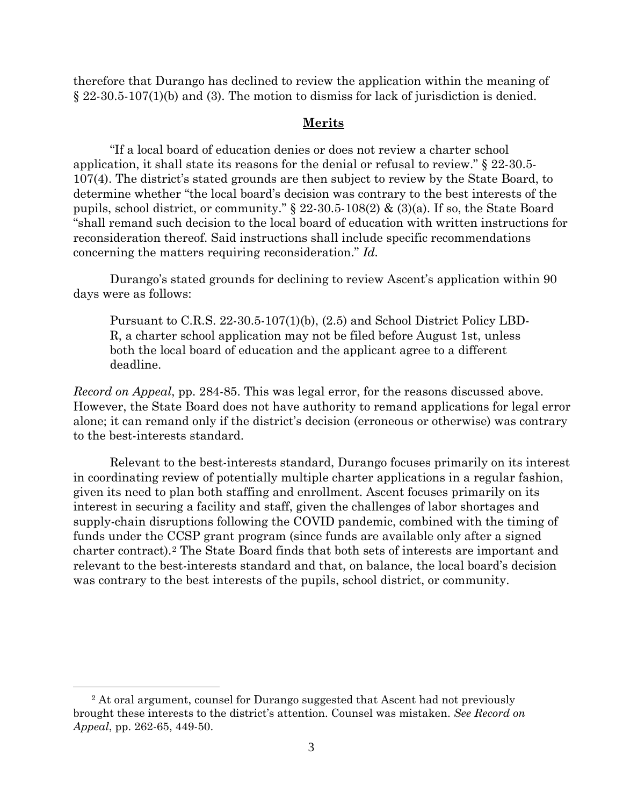therefore that Durango has declined to review the application within the meaning of § 22-30.5-107(1)(b) and (3). The motion to dismiss for lack of jurisdiction is denied.

### **Merits**

"If a local board of education denies or does not review a charter school application, it shall state its reasons for the denial or refusal to review." § 22-30.5- 107(4). The district's stated grounds are then subject to review by the State Board, to determine whether "the local board's decision was contrary to the best interests of the pupils, school district, or community." § 22-30.5-108(2) & (3)(a). If so, the State Board "shall remand such decision to the local board of education with written instructions for reconsideration thereof. Said instructions shall include specific recommendations concerning the matters requiring reconsideration." *Id.*

Durango's stated grounds for declining to review Ascent's application within 90 days were as follows:

Pursuant to C.R.S. 22-30.5-107(1)(b), (2.5) and School District Policy LBD-R, a charter school application may not be filed before August 1st, unless both the local board of education and the applicant agree to a different deadline.

*Record on Appeal*, pp. 284-85. This was legal error, for the reasons discussed above. However, the State Board does not have authority to remand applications for legal error alone; it can remand only if the district's decision (erroneous or otherwise) was contrary to the best-interests standard.

Relevant to the best-interests standard, Durango focuses primarily on its interest in coordinating review of potentially multiple charter applications in a regular fashion, given its need to plan both staffing and enrollment. Ascent focuses primarily on its interest in securing a facility and staff, given the challenges of labor shortages and supply-chain disruptions following the COVID pandemic, combined with the timing of funds under the CCSP grant program (since funds are available only after a signed charter contract).[2](#page-2-0) The State Board finds that both sets of interests are important and relevant to the best-interests standard and that, on balance, the local board's decision was contrary to the best interests of the pupils, school district, or community.

<span id="page-2-0"></span><sup>&</sup>lt;sup>2</sup> At oral argument, counsel for Durango suggested that Ascent had not previously brought these interests to the district's attention. Counsel was mistaken. *See Record on Appeal*, pp. 262-65, 449-50.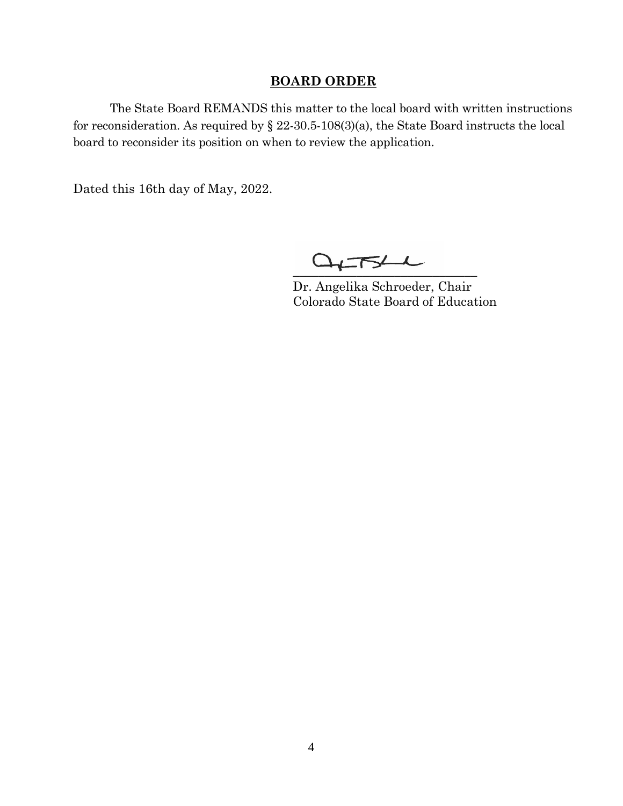### **BOARD ORDER**

The State Board REMANDS this matter to the local board with written instructions for reconsideration. As required by § 22-30.5-108(3)(a), the State Board instructs the local board to reconsider its position on when to review the application.

Dated this 16th day of May, 2022.

 $Q_{\uparrow}$  -  $Z_{\downarrow}$ 

Dr. Angelika Schroeder, Chair Colorado State Board of Education